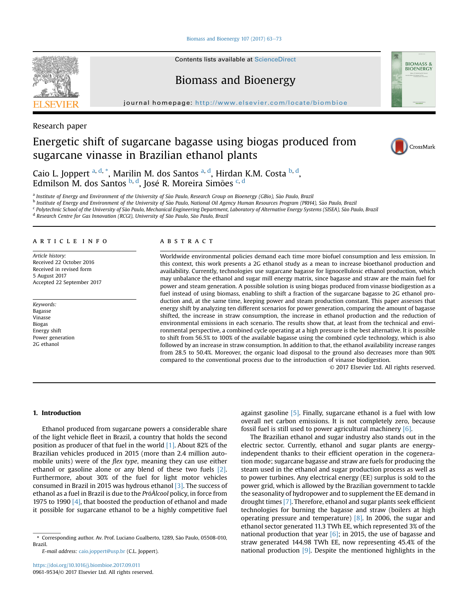Biomass and Bioenergy  $107(2017)$  63-73



Contents lists available at ScienceDirect

# Biomass and Bioenergy

journal homepage: http://www.elsevier.com/locate/biombioe

Research paper

# Energetic shift of sugarcane bagasse using biogas produced from sugarcane vinasse in Brazilian ethanol plants



**BIOMASS &**<br>**BIOENERGY** 

Caio L. Joppert <sup>a, d, \*</sup>, Marilin M. dos Santos <sup>a, d</sup>, Hirdan K.M. Costa <sup>b, d</sup>, Edmilson M. dos Santos <sup>b, d</sup>, José R. Moreira Simões <sup>c, d</sup>

<sup>a</sup> Institute of Energy and Environment of the University of São Paulo, Research Group on Bioenergy (GBio), São Paulo, Brazil

b Institute of Energy and Environment of the University of São Paulo, National Oil Agency Human Resources Program (PRH4), São Paulo, Brazil

 $c$  Polytechnic School of the University of São Paulo, Mechanical Engineering Department, Laboratory of Alternative Energy Systems (SISEA), São Paulo, Brazil

 $d$  Research Centre for Gas Innovation (RCGI), University of São Paulo, São Paulo, Brazil

# article info

Article history: Received 22 October 2016 Received in revised form 5 August 2017 Accepted 22 September 2017

Keywords: Bagasse Vinasse Biogas Energy shift Power generation 2G ethanol

#### **ABSTRACT**

Worldwide environmental policies demand each time more biofuel consumption and less emission. In this context, this work presents a 2G ethanol study as a mean to increase bioethanol production and availability. Currently, technologies use sugarcane bagasse for lignocellulosic ethanol production, which may unbalance the ethanol and sugar mill energy matrix, since bagasse and straw are the main fuel for power and steam generation. A possible solution is using biogas produced from vinasse biodigestion as a fuel instead of using biomass, enabling to shift a fraction of the sugarcane bagasse to 2G ethanol production and, at the same time, keeping power and steam production constant. This paper assesses that energy shift by analyzing ten different scenarios for power generation, comparing the amount of bagasse shifted, the increase in straw consumption, the increase in ethanol production and the reduction of environmental emissions in each scenario. The results show that, at least from the technical and environmental perspective, a combined cycle operating at a high pressure is the best alternative. It is possible to shift from 56.5% to 100% of the available bagasse using the combined cycle technology, which is also followed by an increase in straw consumption. In addition to that, the ethanol availability increase ranges from 28.5 to 50.4%. Moreover, the organic load disposal to the ground also decreases more than 90% compared to the conventional process due to the introduction of vinasse biodigestion.

© 2017 Elsevier Ltd. All rights reserved.

#### 1. Introduction

Ethanol produced from sugarcane powers a considerable share of the light vehicle fleet in Brazil, a country that holds the second position as producer of that fuel in the world [1]. About 82% of the Brazilian vehicles produced in 2015 (more than 2.4 million automobile units) were of the *flex type*, meaning they can use either ethanol or gasoline alone or any blend of these two fuels [2]. Furthermore, about 30% of the fuel for light motor vehicles consumed in Brazil in 2015 was hydrous ethanol [3]. The success of ethanol as a fuel in Brazil is due to the PróÁlcool policy, in force from 1975 to 1990  $[4]$ , that boosted the production of ethanol and made it possible for sugarcane ethanol to be a highly competitive fuel

E-mail address: caio.joppert@usp.br (C.L. Joppert).

against gasoline [5]. Finally, sugarcane ethanol is a fuel with low overall net carbon emissions. It is not completely zero, because fossil fuel is still used to power agricultural machinery [6].

The Brazilian ethanol and sugar industry also stands out in the electric sector. Currently, ethanol and sugar plants are energyindependent thanks to their efficient operation in the cogeneration mode; sugarcane bagasse and straw are fuels for producing the steam used in the ethanol and sugar production process as well as to power turbines. Any electrical energy (EE) surplus is sold to the power grid, which is allowed by the Brazilian government to tackle the seasonality of hydropower and to supplement the EE demand in drought times [7]. Therefore, ethanol and sugar plants seek efficient technologies for burning the bagasse and straw (boilers at high operating pressure and temperature)  $[8]$ . In 2006, the sugar and ethanol sector generated 11.3 TWh EE, which represented 3% of the national production that year  $[6]$ ; in 2015, the use of bagasse and straw generated 144.98 TWh EE, now representing 45.4% of the national production [9]. Despite the mentioned highlights in the

<sup>\*</sup> Corresponding author. Av. Prof. Luciano Gualberto, 1289, São Paulo, 05508-010, Brazil.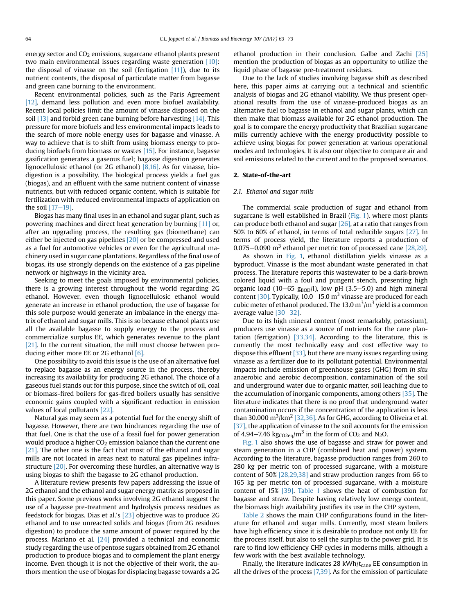energy sector and  $CO<sub>2</sub>$  emissions, sugarcane ethanol plants present two main environmental issues regarding waste generation [10]: the disposal of vinasse on the soil (fertigation  $[11]$ ), due to its nutrient contents, the disposal of particulate matter from bagasse and green cane burning to the environment.

Recent environmental policies, such as the Paris Agreement [12], demand less pollution and even more biofuel availability. Recent local policies limit the amount of vinasse disposed on the soil [13] and forbid green cane burning before harvesting [14]. This pressure for more biofuels and less environmental impacts leads to the search of more noble energy uses for bagasse and vinasse. A way to achieve that is to shift from using biomass energy to producing biofuels from biomass or wastes [15]. For instance, bagasse gasification generates a gaseous fuel; bagasse digestion generates lignocellulosic ethanol (or 2G ethanol) [8,16]. As for vinasse, biodigestion is a possibility. The biological process yields a fuel gas (biogas), and an effluent with the same nutrient content of vinasse nutrients, but with reduced organic content, which is suitable for fertilization with reduced environmental impacts of application on the soil  $[17-19]$ .

Biogas has many final uses in an ethanol and sugar plant, such as powering machines and direct heat generation by burning [11] or, after an upgrading process, the resulting gas (biomethane) can either be injected on gas pipelines [20] or be compressed and used as a fuel for automotive vehicles or even for the agricultural machinery used in sugar cane plantations. Regardless of the final use of biogas, its use strongly depends on the existence of a gas pipeline network or highways in the vicinity area.

Seeking to meet the goals imposed by environmental policies, there is a growing interest throughout the world regarding 2G ethanol. However, even though lignocellulosic ethanol would generate an increase in ethanol production, the use of bagasse for this sole purpose would generate an imbalance in the energy matrix of ethanol and sugar mills. This is so because ethanol plants use all the available bagasse to supply energy to the process and commercialize surplus EE, which generates revenue to the plant [21]. In the current situation, the mill must choose between producing either more EE or 2G ethanol [6].

One possibility to avoid this issue is the use of an alternative fuel to replace bagasse as an energy source in the process, thereby increasing its availability for producing 2G ethanol. The choice of a gaseous fuel stands out for this purpose, since the switch of oil, coal or biomass-fired boilers for gas-fired boilers usually has sensitive economic gains coupled with a significant reduction in emission values of local pollutants [22].

Natural gas may seem as a potential fuel for the energy shift of bagasse. However, there are two hindrances regarding the use of that fuel. One is that the use of a fossil fuel for power generation would produce a higher CO<sub>2</sub> emission balance than the current one [21]. The other one is the fact that most of the ethanol and sugar mills are not located in areas next to natural gas pipelines infrastructure [20]. For overcoming these hurdles, an alternative way is using biogas to shift the bagasse to 2G ethanol production.

A literature review presents few papers addressing the issue of 2G ethanol and the ethanol and sugar energy matrix as proposed in this paper. Some previous works involving 2G ethanol suggest the use of a bagasse pre-treatment and hydrolysis process residues as feedstock for biogas. Dias et al.'s [23] objective was to produce 2G ethanol and to use unreacted solids and biogas (from 2G residues digestion) to produce the same amount of power required by the process. Mariano et al. [24] provided a technical and economic study regarding the use of pentose sugars obtained from 2G ethanol production to produce biogas and to complement the plant energy income. Even though it is not the objective of their work, the authors mention the use of biogas for displacing bagasse towards a 2G ethanol production in their conclusion. Galbe and Zachi [25] mention the production of biogas as an opportunity to utilize the liquid phase of bagasse pre-treatment residues.

Due to the lack of studies involving bagasse shift as described here, this paper aims at carrying out a technical and scientific analysis of biogas and 2G ethanol viability. We thus present operational results from the use of vinasse-produced biogas as an alternative fuel to bagasse in ethanol and sugar plants, which can then make that biomass available for 2G ethanol production. The goal is to compare the energy productivity that Brazilian sugarcane mills currently achieve with the energy productivity possible to achieve using biogas for power generation at various operational modes and technologies. It is also our objective to compare air and soil emissions related to the current and to the proposed scenarios.

#### 2. State-of-the-art

#### 2.1. Ethanol and sugar mills

The commercial scale production of sugar and ethanol from sugarcane is well established in Brazil (Fig. 1), where most plants can produce both ethanol and sugar  $[26]$ , at a ratio that ranges from 50% to 60% of ethanol, in terms of total reducible sugars [27]. In terms of process yield, the literature reports a production of 0.075 $-0.090$  m<sup>3</sup> ethanol per metric ton of processed cane [28,29].

As shown in Fig. 1, ethanol distillation yields vinasse as a byproduct. Vinasse is the most abundant waste generated in that process. The literature reports this wastewater to be a dark-brown colored liquid with a foul and pungent stench, presenting high organic load (10-65  $g_{BOD}/l$ ), low pH (3.5-5.0) and high mineral content [30]. Typically, 10.0–15.0  $m<sup>3</sup>$  vinasse are produced for each cubic meter of ethanol produced. The 13.0  $\mathrm{m}^3/\mathrm{m}^3$  yield is a common average value  $[30-32]$ .

Due to its high mineral content (most remarkably, potassium), producers use vinasse as a source of nutrients for the cane plantation (fertigation)  $\left[33,34\right]$ . According to the literature, this is currently the most technically easy and cost effective way to dispose this effluent  $[33]$ , but there are many issues regarding using vinasse as a fertilizer due to its pollutant potential. Environmental impacts include emission of greenhouse gases (GHG) from in situ anaerobic and aerobic decomposition, contamination of the soil and underground water due to organic matter, soil leaching due to the accumulation of inorganic components, among others [35]. The literature indicates that there is no proof that underground water contamination occurs if the concentration of the application is less than 30.000  $\mathrm{m}^3/\mathrm{km}^2$  [32,36]. As for GHG, according to Oliveira et al. [37], the application of vinasse to the soil accounts for the emission of 4.94–7.46 kg<sub>CO2eq</sub>/m<sup>3</sup> in the form of CO<sub>2</sub> and N<sub>2</sub>O.

Fig. 1 also shows the use of bagasse and straw for power and steam generation in a CHP (combined heat and power) system. According to the literature, bagasse production ranges from 260 to 280 kg per metric ton of processed sugarcane, with a moisture content of 50% [28,29,38] and straw production ranges from 66 to 165 kg per metric ton of processed sugarcane, with a moisture content of 15% [39]. Table 1 shows the heat of combustion for bagasse and straw. Despite having relatively low energy content, the biomass high availability justifies its use in the CHP system.

Table 2 shows the main CHP configurations found in the literature for ethanol and sugar mills. Currently, most steam boilers have high efficiency since it is desirable to produce not only EE for the process itself, but also to sell the surplus to the power grid. It is rare to find low efficiency CHP cycles in moderns mills, although a few work with the best available technology.

Finally, the literature indicates 28 kWh/ $t_{\text{cane}}$  EE consumption in all the drives of the process  $[7,39]$ . As for the emission of particulate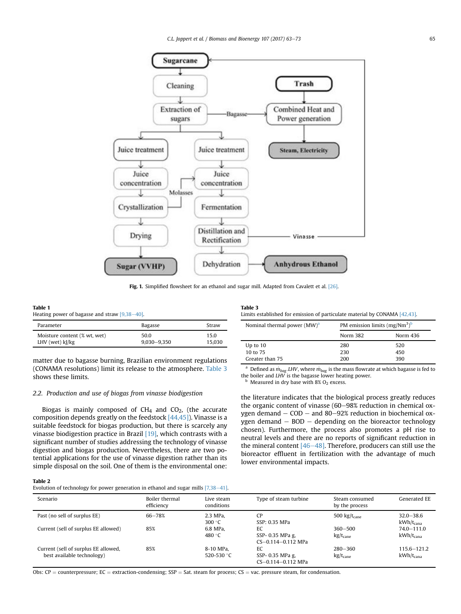

Fig. 1. Simplified flowsheet for an ethanol and sugar mill. Adapted from Cavalett et al. [26].

| Table 1                                          |
|--------------------------------------------------|
| Heating power of bagasse and straw $[9,38-40]$ . |

| Parameter                    | Bagasse         | Straw  |
|------------------------------|-----------------|--------|
| Moisture content (% wt, wet) | 50.0            | 15.0   |
| LHV (wet) $k$ J/ $kg$        | $9,030 - 9,350$ | 15.030 |

matter due to bagasse burning, Brazilian environment regulations (CONAMA resolutions) limit its release to the atmosphere. Table 3 shows these limits.

# 2.2. Production and use of biogas from vinasse biodigestion

Biogas is mainly composed of  $CH<sub>4</sub>$  and  $CO<sub>2</sub>$ , (the accurate composition depends greatly on the feedstock  $[44,45]$ ). Vinasse is a suitable feedstock for biogas production, but there is scarcely any vinasse biodigestion practice in Brazil [19], which contrasts with a significant number of studies addressing the technology of vinasse digestion and biogas production. Nevertheless, there are two potential applications for the use of vinasse digestion rather than its simple disposal on the soil. One of them is the environmental one: Table 3 Limits established for emission of particulate material by CONAMA [42,43].

| Nominal thermal power $(MW)^{d}$ | PM emission limits $(mg/Nm3)b$ |          |
|----------------------------------|--------------------------------|----------|
|                                  | Norm 382                       | Norm 436 |
| Up to $10$                       | 280                            | 520      |
| 10 to 75                         | 230                            | 450      |
| Greater than 75                  | 200                            | 390      |

<sup>a</sup> Defined as  $\dot{m}_{bag}$  *LHV*, where  $\dot{m}_{bag}$  is the mass flowrate at which bagasse is fed to the boiler and *LHV* is the bagasse lower heating power.

Measured in dry base with 8%  $O<sub>2</sub>$  excess.

the literature indicates that the biological process greatly reduces the organic content of vinasse  $(60-98%$  reduction in chemical oxygen demand  $-$  COD  $-$  and 80 $-92%$  reduction in biochemical oxygen demand  $-$  BOD  $-$  depending on the bioreactor technology chosen). Furthermore, the process also promotes a pH rise to neutral levels and there are no reports of significant reduction in the mineral content  $[46-48]$ . Therefore, producers can still use the bioreactor effluent in fertilization with the advantage of much lower environmental impacts.

#### Table 2

Evolution of technology for power generation in ethanol and sugar mills [7,38e41].

|                                                                    | $E$ (Ferdinal Department of technology for power generation in ethanol and sugar mins $\binom{3}{2}$ |                             |                                                   |                                        |                                         |  |  |
|--------------------------------------------------------------------|------------------------------------------------------------------------------------------------------|-----------------------------|---------------------------------------------------|----------------------------------------|-----------------------------------------|--|--|
| Scenario                                                           | Boiler thermal<br>efficiency                                                                         | Live steam<br>conditions    | Type of steam turbine                             | Steam consumed<br>by the process       | Generated EE                            |  |  |
| Past (no sell of surplus EE)                                       | 66-78%                                                                                               | 2.3 MPa.<br>300 $\degree$ C | СP<br>SSP: 0.35 MPa                               | 500 $\text{kg}/\text{t}_{\text{cane}}$ | $32.0 - 38.6$<br>kWh/t <sub>cana</sub>  |  |  |
| Current (sell of surplus EE allowed)                               | 85%                                                                                                  | 6.8 MPa.<br>480 $\degree$ C | EC<br>SSP-0.35 MPa g,<br>$CS - 0.114 - 0.112$ MPa | $360 - 500$<br>$kg/t_{\text{cane}}$    | $74.0 - 111.0$<br>kWh/t <sub>cana</sub> |  |  |
| Current (sell of surplus EE allowed,<br>best available technology) | 85%                                                                                                  | 8-10 MPa.<br>520-530 °C     | EC<br>SSP-0.35 MPa g,<br>CS-0.114-0.112 MPa       | $280 - 360$<br>$kg/t_{\text{cane}}$    | 115.6-121.2<br>kWh/t <sub>cana</sub>    |  |  |

Obs:  $CP =$  counterpressure; EC = extraction-condensing; SSP = Sat. steam for process; CS = vac. pressure steam, for condensation.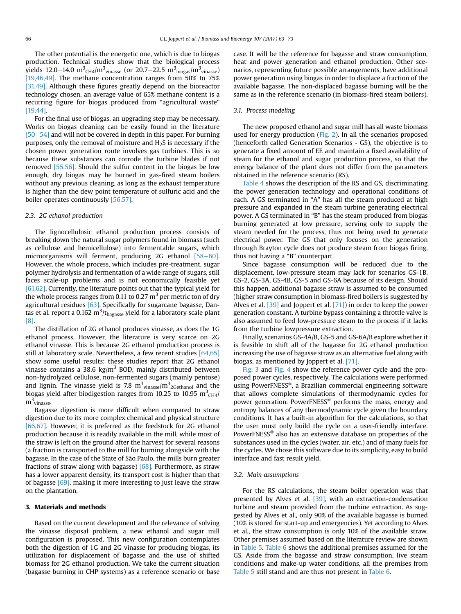The other potential is the energetic one, which is due to biogas production. Technical studies show that the biological process yields 12.0 $-$ 14.0 m $^3$ <sub>CH4</sub>/m $^3$ <sub>vinasse</sub> (or 20.7 $-$ 22.5 m $^3$ <sub>biogas</sub>/m $^3$ <sub>vinasse</sub>) [19,46,49]. The methane concentration ranges from 50% to 75% [31,49]. Although these figures greatly depend on the bioreactor technology chosen, an average value of 65% methane content is a recurring figure for biogas produced from "agricultural waste" [19,44].

For the final use of biogas, an upgrading step may be necessary. Works on biogas cleaning can be easily found in the literature  $[50-54]$  and will not be covered in depth in this paper. For burning purposes, only the removal of moisture and  $H<sub>2</sub>S$  is necessary if the chosen power generation route involves gas turbines. This is so because these substances can corrode the turbine blades if not removed [55,56]. Should the sulfur content in the biogas be low enough, dry biogas may be burned in gas-fired steam boilers without any previous cleaning, as long as the exhaust temperature is higher than the dew point temperature of sulfuric acid and the boiler operates continuously [56,57].

#### 2.3. 2G ethanol production

The lignocellulosic ethanol production process consists of breaking down the natural sugar polymers found in biomass (such as cellulose and hemicellulose) into fermentable sugars, which microorganisms will ferment, producing  $2G$  ethanol  $[58–60]$ . However, the whole process, which includes pre-treatment, sugar polymer hydrolysis and fermentation of a wide range of sugars, still faces scale-up problems and is not economically feasible yet [61,62]. Currently, the literature points out that the typical yield for the whole process ranges from 0.11 to 0.27  $m<sup>3</sup>$  per metric ton of dry agricultural residues  $[63]$ . Specifically for sugarcane bagasse, Dantas et al. report a 0.162  $\mathrm{m}^3/\mathrm{t_{bagasse}}$  yield for a laboratory scale plant [8].

The distillation of 2G ethanol produces vinasse, as does the 1G ethanol process. However, the literature is very scarce on 2G ethanol vinasse. This is because 2G ethanol production process is still at laboratory scale. Nevertheless, a few recent studies [64,65] show some useful results: these studies report that 2G ethanol vinasse contains a 38.6 kg/m<sup>3</sup> BOD, mainly distributed between non-hydrolyzed cellulose, non-fermented sugars (mainly pentose) and lignin. The vinasse yield is 7.8  $m_{\text{vinasse}}^3/m_{\text{2Gethanol}}^3$  and the biogas yield after biodigestion ranges from 10.25 to 10.95  $\mathrm{m^{3}_{CH4}/}$  $\mathsf{m}^3$ vinasse $\cdot$ 

Bagasse digestion is more difficult when compared to straw digestion due to its more complex chemical and physical structure [66,67]. However, it is preferred as the feedstock for 2G ethanol production because it is readily available in the mill, while most of the straw is left on the ground after the harvest for several reasons (a fraction is transported to the mill for burning alongside with the bagasse. In the case of the State of São Paulo, the mills burn greater fractions of straw along with bagasse)  $[68]$ . Furthermore, as straw has a lower apparent density, its transport cost is higher than that of bagasse [69], making it more interesting to just leave the straw on the plantation.

#### 3. Materials and methods

Based on the current development and the relevance of solving the vinasse disposal problem, a new ethanol and sugar mill configuration is proposed. This new configuration contemplates both the digestion of 1G and 2G vinasse for producing biogas, its utilization for displacement of bagasse and the use of shifted biomass for 2G ethanol production. We take the current situation (bagasse burning in CHP systems) as a reference scenario or base

case. It will be the reference for bagasse and straw consumption, heat and power generation and ethanol production. Other scenarios, representing future possible arrangements, have additional power generation using biogas in order to displace a fraction of the available bagasse. The non-displaced bagasse burning will be the same as in the reference scenario (in biomass-fired steam boilers).

### 3.1. Process modeling

The new proposed ethanol and sugar mill has all waste biomass used for energy production (Fig. 2). In all the scenarios proposed (henceforth called Generation Scenarios - GS), the objective is to generate a fixed amount of EE and maintain a fixed availability of steam for the ethanol and sugar production process, so that the energy balance of the plant does not differ from the parameters obtained in the reference scenario (RS).

Table 4 shows the description of the RS and GS, discriminating the power generation technology and operational conditions of each. A GS terminated in "A" has all the steam produced at high pressure and expanded in the steam turbine generating electrical power. A GS terminated in "B" has the steam produced from biogas burning generated at low pressure, serving only to supply the steam needed for the process, thus not being used to generate electrical power. The GS that only focuses on the generation through Brayton cycle does not produce steam from biogas firing, thus not having a "B" counterpart.

Since bagasse consumption will be reduced due to the displacement, low-pressure steam may lack for scenarios GS-1B, GS-2, GS-3A, GS-4B, GS-5 and GS-6A because of its design. Should this happen, additional bagasse straw is assumed to be consumed (higher straw consumption in biomass-fired boilers is suggested by Alves et al.  $[39]$  and Joppert et al.  $[71]$ ) in order to keep the power generation constant. A turbine bypass containing a throttle valve is also assumed to feed low-pressure steam to the process if it lacks from the turbine lowpressure extraction.

Finally, scenarios GS-4A/B, GS-5 and GS-6A/B explore whether it is feasible to shift all of the bagasse for 2G ethanol production increasing the use of bagasse straw as an alternative fuel along with biogas, as mentioned by Joppert et al. [71].

Fig. 3 and Fig. 4 show the reference power cycle and the proposed power cycles, respectively. The calculations were performed using PowerFNESS®, a Brazilian commercial engineering software that allows complete simulations of thermodynamic cycles for power generation. PowerFNESS® performs the mass, energy and entropy balances of any thermodynamic cycle given the boundary conditions. It has a built-in algorithm for the calculations, so that the user must only build the cycle on a user-friendly interface. PowerFNESS® also has an extensive database on properties of the substances used in the cycles (water, air, etc.) and of many fuels for the cycles. We chose this software due to its simplicity, easy to build interface and fast result yield.

#### 3.2. Main assumptions

For the RS calculations, the steam boiler operation was that presented by Alves et al. [39], with an extraction-condensation turbine and steam provided from the turbine extraction. As suggested by Alves et al., only 90% of the available bagasse is burned (10% is stored for start-up and emergencies). Yet according to Alves et al., the straw consumption is only 10% of the available straw. Other premises assumed based on the literature review are shown in Table 5. Table 6 shows the additional premises assumed for the GS. Aside from the bagasse and straw consumption, live steam conditions and make-up water conditions, all the premises from Table 5 still stand and are thus not present in Table 6.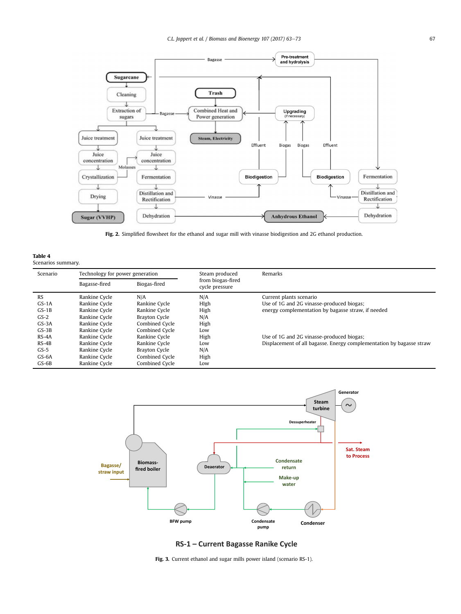

Fig. 2. Simplified flowsheet for the ethanol and sugar mill with vinasse biodigestion and 2G ethanol production.

#### Table 4 Scenarios summary.

| Scenario  | Technology for power generation |                                                     | Steam produced | Remarks                                                              |
|-----------|---------------------------------|-----------------------------------------------------|----------------|----------------------------------------------------------------------|
|           | Bagasse-fired                   | from biogas-fired<br>Biogas-fired<br>cycle pressure |                |                                                                      |
| <b>RS</b> | Rankine Cycle                   | N/A                                                 | N/A            | Current plants scenario                                              |
| $GS-1A$   | Rankine Cycle                   | Rankine Cycle                                       | Hlgh           | Use of 1G and 2G vinasse-produced biogas;                            |
| $GS-1B$   | Rankine Cycle                   | Rankine Cycle                                       | High           | energy complementation by bagasse straw, if needed                   |
| $GS-2$    | Rankine Cycle                   | Brayton Cycle                                       | N/A            |                                                                      |
| $GS-3A$   | Rankine Cycle                   | Combined Cycle                                      | High           |                                                                      |
| $GS-3B$   | Rankine Cycle                   | Combined Cycle                                      | Low            |                                                                      |
| $RS-4A$   | Rankine Cycle                   | Rankine Cycle                                       | High           | Use of 1G and 2G vinasse-produced biogas;                            |
| $RS-4B$   | Rankine Cycle                   | Rankine Cycle                                       | Low            | Displacement of all bagasse. Energy complementation by bagasse straw |
| $GS-5$    | Rankine Cycle                   | Brayton Cycle                                       | N/A            |                                                                      |
| $GS-6A$   | Rankine Cycle                   | Combined Cycle                                      | High           |                                                                      |
| $GS-6B$   | Rankine Cycle                   | Combined Cvcle                                      | Low            |                                                                      |



# **RS-1 – Current Bagasse Ranike Cycle**

Fig. 3. Current ethanol and sugar mills power island (scenario RS-1).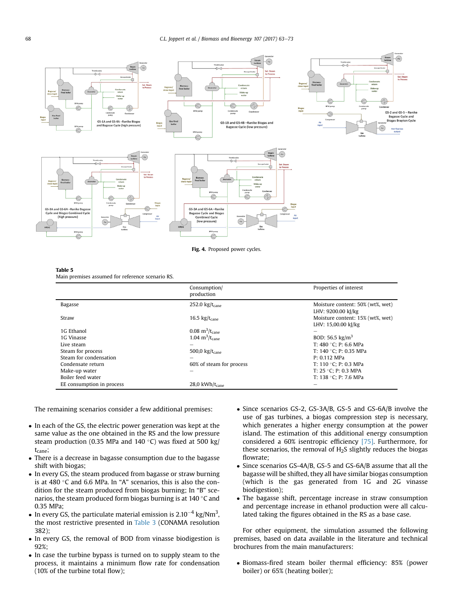

Fig. 4. Proposed power cycles.

#### Table 5

Main premises assumed for reference scenario RS.

|                           | Consumption/<br>production               | Properties of interest                                  |
|---------------------------|------------------------------------------|---------------------------------------------------------|
| Bagasse                   | 252.0 $\text{kg}/\text{t}_{\text{cane}}$ | Moisture content: 50% (wt%, wet)<br>LHV: 9200.00 kJ/kg  |
| Straw                     | 16.5 $kg/t_{\text{cane}}$                | Moisture content: 15% (wt%, wet)<br>LHV: 15,00.00 kJ/kg |
| 1G Ethanol                | 0.08 $\rm m^3/t_{\rm cone}$              |                                                         |
| 1G Vinasse                | 1.04 $m^3$ / $t_{\text{cane}}$           | BOD: 56.5 $\text{kg/m}^3$                               |
| Live steam                |                                          | T: 480 °C; P: 6.6 MPa                                   |
| Steam for process         | 500,0 $\text{kg}/\text{t}_{\text{cane}}$ | T: 140 °C: P: 0.35 MPa                                  |
| Steam for condensation    |                                          | P: 0.112 MPa                                            |
| Condensate return         | 60% of steam for process                 | T: 110 °C: P: 0.3 MPa                                   |
| Make-up water             |                                          | T: $25 \text{ °C}$ : P: 0.3 MPA                         |
| Boiler feed water         |                                          | T: 138 °C: P: 7.6 MPa                                   |
| EE consumption in process | 28,0 $kWh/t_{\text{cane}}$               |                                                         |

The remaining scenarios consider a few additional premises:

- In each of the GS, the electric power generation was kept at the same value as the one obtained in the RS and the low pressure steam production (0.35 MPa and 140 $\degree$ C) was fixed at 500 kg/ t<sub>cane</sub>;
- There is a decrease in bagasse consumption due to the bagasse shift with biogas;
- In every GS, the steam produced from bagasse or straw burning is at 480 $\degree$ C and 6.6 MPa. In "A" scenarios, this is also the condition for the steam produced from biogas burning; In "B" scenarios, the steam produced form biogas burning is at 140  $\degree$ C and 0.35 MPa;
- In every GS, the particulate material emission is  $2.10^{-4}$  kg/Nm<sup>3</sup>, the most restrictive presented in Table 3 (CONAMA resolution  $382$
- In every GS, the removal of BOD from vinasse biodigestion is 92%;
- In case the turbine bypass is turned on to supply steam to the process, it maintains a minimum flow rate for condensation (10% of the turbine total flow);
- Since scenarios GS-2, GS-3A/B, GS-5 and GS-6A/B involve the use of gas turbines, a biogas compression step is necessary, which generates a higher energy consumption at the power island. The estimation of this additional energy consumption considered a 60% isentropic efficiency [75]. Furthermore, for these scenarios, the removal of  $H<sub>2</sub>S$  slightly reduces the biogas flowrate<sup>.</sup>
- Since scenarios GS-4A/B, GS-5 and GS-6A/B assume that all the bagasse will be shifted, they all have similar biogas consumption (which is the gas generated from 1G and 2G vinasse biodigestion);
- The bagasse shift, percentage increase in straw consumption and percentage increase in ethanol production were all calculated taking the figures obtained in the RS as a base case.

For other equipment, the simulation assumed the following premises, based on data available in the literature and technical brochures from the main manufacturers:

 Biomass-fired steam boiler thermal efficiency: 85% (power boiler) or 65% (heating boiler);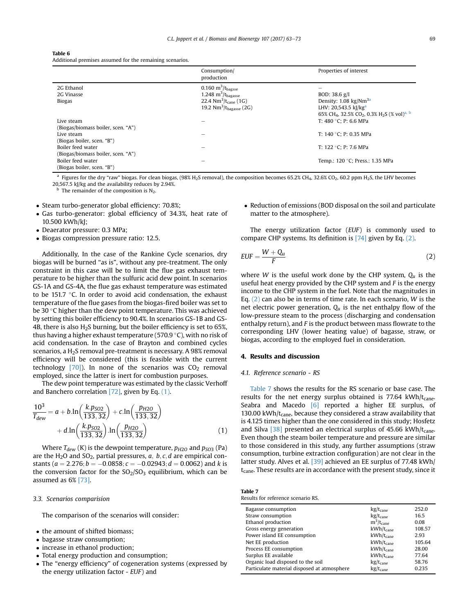Additional premises assumed for the remaining scenarios.

|                                    | Consumption/<br>production                   | Properties of interest                                                                      |
|------------------------------------|----------------------------------------------|---------------------------------------------------------------------------------------------|
| 2G Ethanol                         | $0.160 \text{ m}^3/\text{t}_{\text{bagsse}}$ |                                                                                             |
| 2G Vinasse                         | 1.248 $m^3$ / $t_{bagasse}$                  | BOD: $38.6$ g/l                                                                             |
| <b>Biogas</b>                      | 22.4 $Nm^3/t_{\text{cane}}$ (1G)             | Density: $1.08 \text{ kg}/\text{Nm}^{3a}$                                                   |
|                                    | 19.2 $Nm^3$ / $t_{ba\text{gasse}}$ (2G)      | LHV: 20,543.5 kJ/kg <sup>a</sup>                                                            |
|                                    |                                              | 65% CH <sub>4</sub> , 32.5% CO <sub>2</sub> , 0.3% H <sub>2</sub> S (% vol) <sup>a, b</sup> |
| Live steam                         |                                              | T: 480 °C: P: 6.6 MPa                                                                       |
| (Biogas/biomass boiler, scen. "A") |                                              |                                                                                             |
| Live steam                         |                                              | T: 140 °C: P: 0.35 MPa                                                                      |
| (Biogas boiler, scen. "B")         |                                              |                                                                                             |
| Boiler feed water                  | $\overline{\phantom{a}}$                     | T: 122 °C: P: 7.6 MPa                                                                       |
| (Biogas/biomass boiler, scen. "A") |                                              |                                                                                             |
| Boiler feed water                  | -                                            | Temp.: 120 °C; Press.: 1.35 MPa                                                             |
| (Biogas boiler, scen, "B")         |                                              |                                                                                             |

<sup>a</sup> Figures for the dry "raw" biogas. For clean biogas, (98% H<sub>2</sub>S removal), the composition becomes 65.2% CH<sub>4</sub>, 32.6% CO<sub>2</sub>, 60.2 ppm H<sub>2</sub>S, the LHV becomes 20,567.5 kJ/kg and the availability reduces by 2.94%.

 $<sup>b</sup>$  The remainder of the composition is N<sub>2</sub>.</sup>

- Steam turbo-generator global efficiency: 70.8%;
- Gas turbo-generator: global efficiency of 34.3%, heat rate of 10.500 kWh/kJ;
- Deaerator pressure: 0.3 MPa;
- Biogas compression pressure ratio: 12.5.

Additionally, In the case of the Rankine Cycle scenarios, dry biogas will be burned "as is", without any pre-treatment. The only constraint in this case will be to limit the flue gas exhaust temperature to be higher than the sulfuric acid dew point. In scenarios GS-1A and GS-4A, the flue gas exhaust temperature was estimated to be 151.7  $\degree$ C. In order to avoid acid condensation, the exhaust temperature of the flue gases from the biogas-fired boiler was set to be 30 °C higher than the dew point temperature. This was achieved by setting this boiler efficiency to 90.4%. In scenarios GS-1B and GS-4B, there is also  $H_2S$  burning, but the boiler efficiency is set to 65%, thus having a higher exhaust temperature (570.9  $\degree$ C), with no risk of acid condensation. In the case of Brayton and combined cycles scenarios, a H<sub>2</sub>S removal pre-treatment is necessary. A 98% removal efficiency will be considered (this is feasible with the current technology  $[70]$ ). In none of the scenarios was  $CO<sub>2</sub>$  removal employed, since the latter is inert for combustion purposes.

The dew point temperature was estimated by the classic Verhoff and Banchero correlation [72], given by Eq. (1).

$$
\frac{10^3}{T_{dew}} = a + b.\ln\left(\frac{k.p_{502}}{133,32}\right) + c.\ln\left(\frac{p_{H20}}{133,32}\right) + d.\ln\left(\frac{k.p_{502}}{133,32}\right) \cdot \ln\left(\frac{p_{H20}}{133,32}\right)
$$
\n(1)

Where  $T_{dew}$  (K) is the dewpoint temperature,  $p_{H2O}$  and  $p_{SO3}$  (Pa) are the H<sub>2</sub>O and SO<sub>2</sub>, partial pressures,  $a, b, c, d$  are empirical constants ( $a = 2.276$ ;  $b = -0.0858$ ;  $c = -0.02943$ ;  $d = 0.0062$ ) and k is the conversion factor for the  $SO<sub>2</sub>/SO<sub>3</sub>$  equilibrium, which can be assumed as 6% [73].

#### 3.3. Scenarios comparision

The comparison of the scenarios will consider:

- the amount of shifted biomass;
- bagasse straw consumption;
- increase in ethanol production;
- Total energy production and consumption;
- The "energy efficiency" of cogeneration systems (expressed by the energy utilization factor - EUF) and

 Reduction of emissions (BOD disposal on the soil and particulate matter to the atmosphere).

The energy utilization factor (EUF) is commonly used to compare CHP systems. Its definition is [74] given by Eq. (2).

$$
EUF = \frac{W + Q_u}{F} \tag{2}
$$

where W is the useful work done by the CHP system,  $Q_u$  is the useful heat energy provided by the CHP system and  $F$  is the energy income to the CHP system in the fuel. Note that the magnitudes in Eq.  $(2)$  can also be in terms of time rate. In each scenario, W is the net electric power generation,  $Q_u$  is the net enthalpy flow of the low-pressure steam to the process (discharging and condensation enthalpy return), and  $F$  is the product between mass flowrate to the corresponding LHV (lower heating value) of bagasse, straw, or biogas, according to the employed fuel in consideration.

# 4. Results and discussion

#### 4.1. Reference scenario - RS

Table 7 shows the results for the RS scenario or base case. The results for the net energy surplus obtained is  $77.64$  kWh/t<sub>cane</sub>. Seabra and Macedo [6] reported a higher EE surplus, of 130.00 kWh/ $t_{\text{cane}}$ , because they considered a straw availability that is 4.125 times higher than the one considered in this study; Hosfetz and Silva  $[38]$  presented an electrical surplus of 45.66 kWh/t<sub>cane</sub>. Even though the steam boiler temperature and pressure are similar to those considered in this study, any further assumptions (straw consumption, turbine extraction configuration) are not clear in the latter study. Alves et al. [39] achieved an EE surplus of 77.48 kWh/ t<sub>cane</sub>. These results are in accordance with the present study, since it

| Table 7 |                                    |  |
|---------|------------------------------------|--|
|         | Results for reference scenario RS. |  |

| Bagasse consumption                         | $\text{kg}/\text{t}_{\text{cane}}$ | 252.0  |
|---------------------------------------------|------------------------------------|--------|
| Straw consumption                           | $kg/t_{\text{cane}}$               | 16.5   |
| Ethanol production                          | $m^3$ / $t_{\text{cane}}$          | 0.08   |
| Gross energy generation                     | $kWh/t_{cane}$                     | 108.57 |
| Power island EE consumption                 | $kWh/t_{\text{cane}}$              | 2.93   |
| Net EE production                           | $kWh/t_{\text{cane}}$              | 105.64 |
| Process EE consumption                      | $kWh/t_{\text{cane}}$              | 28.00  |
| Surplus EE available                        | $kWh/t_{\text{cane}}$              | 77.64  |
| Organic load disposed to the soil           | $kg/t_{\text{cane}}$               | 58.76  |
| Particulate material disposed at atmosphere | $kg/t_{\text{cane}}$               | 0.235  |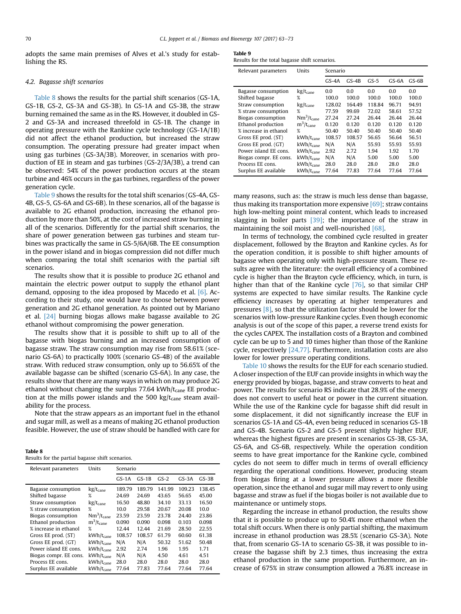adopts the same main premises of Alves et al.'s study for establishing the RS.

### 4.2. Bagasse shift scenarios

Table 8 shows the results for the partial shift scenarios (GS-1A, GS-1B, GS-2, GS-3A and GS-3B). In GS-1A and GS-3B, the straw burning remained the same as in the RS. However, it doubled in GS-2 and GS-3A and increased threefold in GS-1B. The change in operating pressure with the Rankine cycle technology (GS-1A/1B) did not affect the ethanol production, but increased the straw consumption. The operating pressure had greater impact when using gas turbines (GS-3A/3B). Moreover, in scenarios with production of EE in steam and gas turbines (GS-2/3A/3B), a trend can be observed: 54% of the power production occurs at the steam turbine and 46% occurs in the gas turbines, regardless of the power generation cycle.

Table 9 shows the results for the total shift scenarios (GS-4A, GS-4B, GS-5, GS-6A and GS-6B). In these scenarios, all of the bagasse is available to 2G ethanol production, increasing the ethanol production by more than 50%, at the cost of increased straw burning in all of the scenarios. Differently for the partial shift scenarios, the share of power generation between gas turbines and steam turbines was practically the same in GS-5/6A/6B. The EE consumption in the power island and in biogas compression did not differ much when comparing the total shift scenarios with the partial sift scenarios.

The results show that it is possible to produce 2G ethanol and maintain the electric power output to supply the ethanol plant demand, opposing to the idea proposed by Macedo et al. [6]. According to their study, one would have to choose between power generation and 2G ethanol generation. As pointed out by Mariano et al. [24] burning biogas allows make bagasse available to 2G ethanol without compromising the power generation.

The results show that it is possible to shift up to all of the bagasse with biogas burning and an increased consumption of bagasse straw. The straw consumption may rise from 58.61% (scenario GS-6A) to practically 100% (scenario GS-4B) of the available straw. With reduced straw consumption, only up to 56.65% of the available bagasse can be shifted (scenario GS-6A). In any case, the results show that there are many ways in which on may produce 2G ethanol without changing the surplus 77.64 kWh/t<sub>cane</sub> EE production at the mills power islands and the 500 kg/ $t_{\text{cane}}$  steam availability for the process.

Note that the straw appears as an important fuel in the ethanol and sugar mill, as well as a means of making 2G ethanol production feasible. However, the use of straw should be handled with care for

#### Table 8

|  |  |  | Results for the partial bagasse shift scenarios. |
|--|--|--|--------------------------------------------------|
|  |  |  |                                                  |

| Relevant parameters    | Units                  | Scenario |         |        |         |         |
|------------------------|------------------------|----------|---------|--------|---------|---------|
|                        |                        | $GS-1A$  | $GS-1B$ | $GS-2$ | $GS-3A$ | $GS-3B$ |
| Bagasse consumption    | $kg/t_{\text{cane}}$   | 189.79   | 189.79  | 141.99 | 109.23  | 138.45  |
| Shifted bagasse        | %                      | 24.69    | 24.69   | 43.65  | 56.65   | 45.00   |
| Straw consumption      | $kg/t_{cane}$          | 16.50    | 48.80   | 34.10  | 33.13   | 16.50   |
| % straw consumption    | $\%$                   | 10.0     | 29.58   | 20.67  | 20.08   | 10.0    |
| Biogas consumption     | $Nm^3/t_{\text{cane}}$ | 23.59    | 23.59   | 23.78  | 24.40   | 23.86   |
| Ethanol production     | $m^3/t_{\text{cane}}$  | 0.090    | 0.090   | 0.098  | 0.103   | 0.098   |
| % increase in ethanol  | %                      | 12.44    | 12.44   | 21.69  | 28.50   | 22.55   |
| Gross EE prod. (ST)    | kWh/t <sub>cane</sub>  | 108.57   | 108.57  | 61.79  | 60.60   | 61.38   |
| Gross EE prod. (GT)    | kWh/t <sub>cane</sub>  | N/A      | N/A     | 50.32  | 51.62   | 50.48   |
| Power island EE cons.  | kWh/t <sub>cane</sub>  | 2.92     | 2.74    | 1.96   | 1.95    | 1.71    |
| Biogas compr. EE cons. | $kWh/t_{\text{cane}}$  | N/A      | N/A     | 4.50   | 4.61    | 4.51    |
| Process EE cons.       | kWh/t <sub>cane</sub>  | 28.0     | 28.0    | 28.0   | 28.0    | 28.0    |
| Surplus EE available   | $kWh/t_{\text{cane}}$  | 77.64    | 77.83   | 77.64  | 77.64   | 77.64   |

#### Table 9

| Results for the total bagasse shift scenarios. |  |
|------------------------------------------------|--|
|------------------------------------------------|--|

| Relevant parameters                                                                                                                                                                                                                                                          | Units                                                                                                                                                                                                                                       | Scenario                                                                                           |                                                                                                    |                                                                                                      |                                                                                                     |                                                                                                     |
|------------------------------------------------------------------------------------------------------------------------------------------------------------------------------------------------------------------------------------------------------------------------------|---------------------------------------------------------------------------------------------------------------------------------------------------------------------------------------------------------------------------------------------|----------------------------------------------------------------------------------------------------|----------------------------------------------------------------------------------------------------|------------------------------------------------------------------------------------------------------|-----------------------------------------------------------------------------------------------------|-----------------------------------------------------------------------------------------------------|
|                                                                                                                                                                                                                                                                              |                                                                                                                                                                                                                                             | $GS-4A$                                                                                            | $GS-4B$                                                                                            | $GS-5$                                                                                               | $GS-6A$                                                                                             | $GS-GB$                                                                                             |
| Bagasse consumption<br>Shifted bagasse<br>Straw consumption<br>% straw consumption<br>Biogas consumption<br>Ethanol production<br>% increase in ethanol<br>Gross EE prod. (ST)<br>Gross EE prod. (GT)<br>Power island EE cons.<br>Biogas compr. EE cons.<br>Process EE cons. | $kg/t_{\text{cane}}$<br>%<br>$kg/t_{\text{cane}}$<br>%<br>$Nm^3/t_{\text{cane}}$<br>$m^3/t_{\text{cane}}$<br>%<br>$kWh/t_{\text{cane}}$<br>$kWh/t_{\text{cane}}$<br>$kWh/t_{\text{cane}}$<br>$kWh/t_{\text{cane}}$<br>$kWh/t_{\text{cane}}$ | 0.0<br>100.0<br>128.02<br>77.59<br>27.24<br>0.120<br>50.40<br>108.57<br>N/A<br>2.92<br>N/A<br>28.0 | 0.0<br>100.0<br>164.49<br>99.69<br>27.24<br>0.120<br>50.40<br>108.57<br>N/A<br>2.72<br>N/A<br>28.0 | 0.0<br>100.0<br>118.84<br>72.02<br>26.44<br>0.120<br>50.40<br>56.65<br>55.93<br>1.94<br>5.00<br>28.0 | 0.0<br>100.0<br>96.71<br>58.61<br>26.44<br>0.120<br>50.40<br>56.64<br>55.93<br>1.92<br>5.00<br>28.0 | 0.0<br>100.0<br>94.91<br>57.52<br>26.44<br>0.120<br>50.40<br>56.51<br>55.93<br>1.70<br>5.00<br>28.0 |
| Surplus EE available                                                                                                                                                                                                                                                         | kWh/t <sub>cane</sub>                                                                                                                                                                                                                       | 77.64                                                                                              | 77.83                                                                                              | 77.64                                                                                                | 77.64                                                                                               | 77.64                                                                                               |

many reasons, such as: the straw is much less dense than bagasse, thus making its transportation more expensive [69]; straw contains high low-melting point mineral content, which leads to increased slagging in boiler parts [39]; the importance of the straw in maintaining the soil moist and well-nourished [68].

In terms of technology, the combined cycle resulted in greater displacement, followed by the Brayton and Rankine cycles. As for the operation condition, it is possible to shift higher amounts of bagasse when operating only with high-pressure steam. These results agree with the literature: the overall efficiency of a combined cycle is higher than the Brayton cycle efficiency, which, in turn, is higher than that of the Rankine cycle [76], so that similar CHP systems are expected to have similar results. The Rankine cycle efficiency increases by operating at higher temperatures and pressures [8], so that the utilization factor should be lower for the scenarios with low-pressure Rankine cycles. Even though economic analysis is out of the scope of this paper, a reverse trend exists for the cycles CAPEX. The installation costs of a Brayton and combined cycle can be up to 5 and 10 times higher than those of the Rankine cycle, respectively [24,77]. Furthermore, installation costs are also lower for lower pressure operating conditions.

Table 10 shows the results for the EUF for each scenario studied. A closer inspection of the EUF can provide insights in which way the energy provided by biogas, bagasse, and straw converts to heat and power. The results for scenario RS indicate that 28.9% of the energy does not convert to useful heat or power in the current situation. While the use of the Rankine cycle for bagasse shift did result in some displacement, it did not significantly increase the EUF in scenarios GS-1A and GS-4A, even being reduced in scenarios GS-1B and GS-4B. Scenario GS-2 and GS-5 present slightly higher EUF, whereas the highest figures are present in scenarios GS-3B, GS-3A, GS-6A, and GS-6B, respectively. While the operation condition seems to have great importance for the Rankine cycle, combined cycles do not seem to differ much in terms of overall efficiency regarding the operational conditions. However, producing steam from biogas firing at a lower pressure allows a more flexible operation, since the ethanol and sugar mill may revert to only using bagasse and straw as fuel if the biogas boiler is not available due to maintenance or untimely stops.

Regarding the increase in ethanol production, the results show that it is possible to produce up to 50.4% more ethanol when the total shift occurs. When there is only partial shifting, the maximum increase in ethanol production was 28.5% (scenario GS-3A). Note that, from scenario GS-1A to scenario GS-3B, it was possible to increase the bagasse shift by 2.3 times, thus increasing the extra ethanol production in the same proportion. Furthermore, an increase of 675% in straw consumption allowed a 76.8% increase in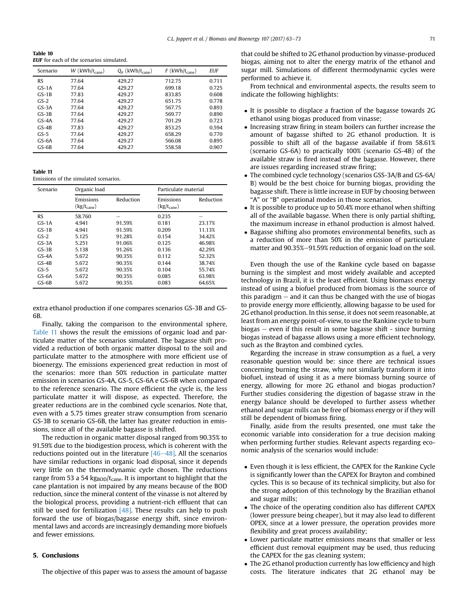Table 10 EUF for each of the scenarios simulated.

| Scenario  | $W$ (kWh/ $t_{\text{cane}}$ ) | $Q_{II}$ (kWh/t <sub>cane</sub> ) | $F$ (kWh/ $t_{\text{cane}}$ ) | <b>EUF</b> |
|-----------|-------------------------------|-----------------------------------|-------------------------------|------------|
| <b>RS</b> | 77.64                         | 429.27                            | 712.75                        | 0.711      |
| $GS-1A$   | 77.64                         | 429.27                            | 699.18                        | 0.725      |
| $GS-1B$   | 77.83                         | 429.27                            | 833.85                        | 0.608      |
| $GS-2$    | 77.64                         | 429.27                            | 651.75                        | 0.778      |
| $GS-3A$   | 77.64                         | 429.27                            | 567.75                        | 0.893      |
| $GS-3B$   | 77.64                         | 429.27                            | 569.77                        | 0.890      |
| $GS-4A$   | 77.64                         | 429.27                            | 701.29                        | 0.723      |
| $GS-4B$   | 77.83                         | 429.27                            | 853.25                        | 0.594      |
| $GS-5$    | 77.64                         | 429.27                            | 658.29                        | 0.770      |
| $GS-6A$   | 77.64                         | 429.27                            | 566.08                        | 0.895      |
| $GS-6B$   | 77.64                         | 429.27                            | 558.58                        | 0.907      |

| H<br>ж. |
|---------|
|---------|

Emissions of the simulated scenarios.

| Scenario  | Organic load                         |           | Particulate material                |           |
|-----------|--------------------------------------|-----------|-------------------------------------|-----------|
|           | Emissions<br>(kg/t <sub>cane</sub> ) | Reduction | Emissions<br>$(kg/t_{\text{cane}})$ | Reduction |
| <b>RS</b> | 58.760                               |           | 0.235                               |           |
| $GS-1A$   | 4.941                                | 91.59%    | 0.181                               | 23.17%    |
| $GS-1B$   | 4.941                                | 91.59%    | 0.209                               | 11.13%    |
| $GS-2$    | 5.125                                | 91.28%    | 0.154                               | 34.42%    |
| $GS-3A$   | 5.251                                | 91.06%    | 0.125                               | 46.98%    |
| $GS-3B$   | 5.138                                | 91.26%    | 0.136                               | 42.29%    |
| $GS-4A$   | 5.672                                | 90.35%    | 0.112                               | 52.32%    |
| $GS-4B$   | 5.672                                | 90.35%    | 0.144                               | 38.74%    |
| $GS-5$    | 5.672                                | 90.35%    | 0.104                               | 55.74%    |
| $GS-6A$   | 5.672                                | 90.35%    | 0.085                               | 63.98%    |
| $GS-6B$   | 5.672                                | 90.35%    | 0.083                               | 64.65%    |

extra ethanol production if one compares scenarios GS-3B and GS-6B.

Finally, taking the comparison to the environmental sphere, Table 11 shows the result the emissions of organic load and particulate matter of the scenarios simulated. The bagasse shift provided a reduction of both organic matter disposal to the soil and particulate matter to the atmosphere with more efficient use of bioenergy. The emissions experienced great reduction in most of the scenarios: more than 50% reduction in particulate matter emission in scenarios GS-4A, GS-5, GS-6A e GS-6B when compared to the reference scenario. The more efficient the cycle is, the less particulate matter it will dispose, as expected. Therefore, the greater reductions are in the combined cycle scenarios. Note that, even with a 5.75 times greater straw consumption from scenario GS-3B to scenario GS-6B, the latter has greater reduction in emissions, since all of the available bagasse is shifted.

The reduction in organic matter disposal ranged from 90.35% to 91.59% due to the biodigestion process, which is coherent with the reductions pointed out in the literature  $[46-48]$ . All the scenarios have similar reductions in organic load disposal, since it depends very little on the thermodynamic cycle chosen. The reductions range from 53 a 54 kg $_{\text{BOD}}$ /t<sub>cane</sub>. It is important to highlight that the cane plantation is not impaired by any means because of the BOD reduction, since the mineral content of the vinasse is not altered by the biological process, providing a nutrient-rich effluent that can still be used for fertilization  $[48]$ . These results can help to push forward the use of biogas/bagasse energy shift, since environmental laws and accords are increasingly demanding more biofuels and fewer emissions.

## 5. Conclusions

The objective of this paper was to assess the amount of bagasse

that could be shifted to 2G ethanol production by vinasse-produced biogas, aiming not to alter the energy matrix of the ethanol and sugar mill. Simulations of different thermodynamic cycles were performed to achieve it.

From technical and environmental aspects, the results seem to indicate the following highlights:

- It is possible to displace a fraction of the bagasse towards 2G ethanol using biogas produced from vinasse;
- Increasing straw firing in steam boilers can further increase the amount of bagasse shifted to 2G ethanol production. It is possible to shift all of the bagasse available if from 58.61% (scenario GS-6A) to practically 100% (scenario GS-4B) of the available straw is fired instead of the bagasse. However, there are issues regarding increased straw firing;
- The combined cycle technology (scenarios GSS-3A/B and GS-6A/ B) would be the best choice for burning biogas, providing the bagasse shift. There is little increase in EUF by choosing between "A" or "B" operational modes in those scenarios.
- It is possible to produce up to 50.4% more ethanol when shifting all of the available bagasse. When there is only partial shifting, the maximum increase in ethanol production is almost halved.
- Bagasse shifting also promotes environmental benefits, such as a reduction of more than 50% in the emission of particulate matter and 90.35%-91.59% reduction of organic load on the soil.

Even though the use of the Rankine cycle based on bagasse burning is the simplest and most widely available and accepted technology in Brazil, it is the least efficient. Using biomass energy instead of using a biofuel produced from biomass is the source of this paradigm  $-$  and it can thus be changed with the use of biogas to provide energy more efficiently, allowing bagasse to be used for 2G ethanol production. In this sense, it does not seem reasonable, at least from an energy point-of-view, to use the Rankine cycle to burn biogas  $-$  even if this result in some bagasse shift - since burning biogas instead of bagasse allows using a more efficient technology, such as the Brayton and combined cycles.

Regarding the increase in straw consumption as a fuel, a very reasonable question would be: since there are technical issues concerning burning the straw, why not similarly transform it into biofuel, instead of using it as a mere biomass burning source of energy, allowing for more 2G ethanol and biogas production? Further studies considering the digestion of bagasse straw in the energy balance should be developed to further assess whether ethanol and sugar mills can be free of biomass energy or if they will still be dependent of biomass firing.

Finally, aside from the results presented, one must take the economic variable into consideration for a true decision making when performing further studies. Relevant aspects regarding economic analysis of the scenarios would include:

- Even though it is less efficient, the CAPEX for the Rankine Cycle is significantly lower than the CAPEX for Brayton and combined cycles. This is so because of its technical simplicity, but also for the strong adoption of this technology by the Brazilian ethanol and sugar mills;
- The choice of the operating condition also has different CAPEX (lower pressure being cheaper), but it may also lead to different OPEX, since at a lower pressure, the operation provides more flexibility and great process availability;
- Lower particulate matter emissions means that smaller or less efficient dust removal equipment may be used, thus reducing the CAPEX for the gas cleaning system;
- The 2G ethanol production currently has low efficiency and high costs. The literature indicates that 2G ethanol may be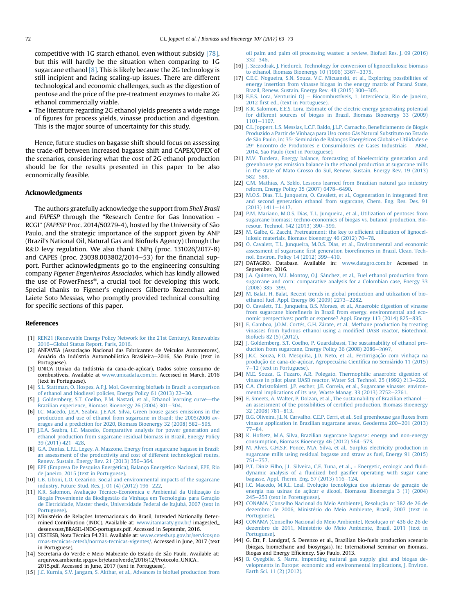competitive with 1G starch ethanol, even without subsidy [78], but this will hardly be the situation when comparing to 1G sugarcane ethanol [8]. This is likely because the 2G technology is still incipient and facing scaling-up issues. There are different technological and economic challenges, such as the digestion of pentose and the price of the pre-treatment enzymes to make 2G ethanol commercially viable.

 The literature regarding 2G ethanol yields presents a wide range of figures for process yields, vinasse production and digestion. This is the major source of uncertainty for this study.

Hence, future studies on bagasse shift should focus on assessing the trade-off between increased bagasse shift and CAPEX/OPEX of the scenarios, considering what the cost of 2G ethanol production should be for the results presented in this paper to be also economically feasible.

#### Acknowledgments

The authors gratefully acknowledge the support from Shell Brasil and FAPESP through the "Research Centre for Gas Innovation - RCGI" (FAPESP Proc. 2014/50279-4), hosted by the University of São Paulo, and the strategic importance of the support given by ANP (Brazil's National Oil, Natural Gas and Biofuels Agency) through the R&D levy regulation. We also thank CNPq (proc. 131026/2017-8) and CAPES (proc.  $23038.003802/2014-53$ ) for the financial support. Further acknowledgments go to the engineering consulting company Figener Engenheiros Associados, which has kindly allowed the use of PowerFness®, a crucial tool for developing this work. Special thanks to Figener's engineers Gilberto Rozenchan and Laiete Soto Messias, who promptly provided technical consulting for specific sections of this paper.

#### References

- [1] REN21 (Renewable Energy Policy Network for the 21st Century), Renewables 2016-Global Status Report, Paris, 2016.
- [2] ANFAVEA (Associação Nacional das Fabricantes de Veículos Automotores), Anuário da Indústria Automobilística Brasileira-2016, São Paulo (text in Portuguese).
- [3] UNICA (Uniao da Indústria da cana-de-açúcar), Dados sobre consumo de ~ combustíveis. Available at www.unicadata.com.br. Accessed in March, 2016 (text in Portuguese).
- [4] S.L. Stattman, O. Hospes, A.P.J. Mol, Governing biofuels in Brazil: a comparison of ethanol and biodiesel policies, Energy Policy 61 (2013) 22-30.
- [5] J. Goldemberg, S.T. Coelho, P.M. Nastari, et al., Ethanol learning curve-the Brazilian experience, Biomass Bioenergy 26 (2004) 301-304.
- [6] I.C. Macedo, J.E.A. Seabra, J.E.A.R. Silva, Green house gases emissions in the production and use of ethanol from sugarcane in Brazil: the 2005/2006 averages and a prediction for 2020, Biomass Bioenergy 32 (2008) 582-595.
- [7] J.E.A. Seabra, I.C. Macedo, Comparative analysis for power generation and ethanol production from sugarcane residual biomass in Brazil, Energy Policy  $39(2011)421 - 428$
- [8] G.A. Dantas, L.F.L. Legey, A. Mazzone, Energy from sugarcane bagasse in Brazil: an assessment of the productivity and cost of different technological routes, Renew. Sustain. Energy Rev. 21 (2013) 356-364.
- [9] EPE (Empresa De Pesquisa Energética), Balanço Energético Nacional, EPE, Rio de Janeiro, 2015 (text in Portuguese).
- [10] L.B. Liboni, L.O. Cezarino, Social and environmental impacts of the sugarcane industry, Future Stud. Res. I. 01  $(4)$   $(2012)$  196-222.
- [11] K.R. Salomon, Avaliação Técnico-Econômica e Ambiental da Utilização do Biogás Proveniente da Biodigestão da Vinhaça em Tecnologias para Geração de Eletricidade, Master thesis, Universidade Federal de Itajub a, 2007 (text in Portuguese).
- [12] Ministério de Relações Internacionais do Brasil, Intended Nationally Determined Contribution (INDC). Available at: www.itamaraty.gov.br/ images/ed\_ desenvsust/BRASIL-iNDC-portugues.pdf. Accessed in Septembr, 2016.
- [13] CESTESB, Nota Técnica P4.231. Available at: www.cetesb.sp.gov.br/servicos/no rmas-tecnicas-cetesb/normas-tecnicas-vigentes/. Accessed in June, 2017 (text in Portuguese).
- [14] Secretaria do Verde e Meio Mabiente do Estado de São Paulo. Available at: arquivos.ambiente.sp.gov.br/etanolverde/2016/12/Protocolo\_UNICA\_ 2015.pdf. Accessed in June, 2017 (text in Portuguese).
- [15] J.C. Kurnia, S.V. Jangam, S. Akthar, et al., Advances in biofuel production from

oil palm and palm oil processing wastes: a review, Biofuel Res. J. 09 (2016)  $332 - 346$ 

- [16] J. Szczodrak, J. Fiedurek, Technology for conversion of lignocellulosic biomass to ethanol, Biomass Bioenergy  $10(1996)$  3367-3375.
- [17] C.E.C. Nogueira, S.N. Souza, V.C. Micuanski, et al., Exploring possibilities of energy insertion from vinasse biogas in the energy matrix of Paraná State, Brazil, Renew. Sustain. Energy Rev.  $48$  (2015) 300-305.
- [18] E.E.S. Lora, Venturini OJ Biocombustíveis, 1, Interciência, Rio de Janeiro, 2012 first ed. (text in Portuguese).
- [19] K.R. Salomon, E.E.S. Lora, Estimate of the electric energy generating potential for different sources of biogas in Brazil, Biomass Bioenergy 33 (2009)  $1101 - 1107.$
- [20] C.L. Joppert, L.S. Messias, L.C.F. Baldo, J.L.P. Camacho, Beneficiamento de Biogás Produzido a Partir de Vinhaça para Uso como Gás Natural Substituto no Estado de São Paulo, in: 35° Seminário de Balanços Energéticos Globais e Utilidades e  $29^{\circ}$  Encontro de Produtores e Consumidores de Gases Industriais - ABM. 2014. São Paulo (text in Portuguese)
- [21] M.V. Turdera, Energy balance, forecasting of bioelectricity generation and greenhouse gas emission balance in the ethanol production at sugarcane mills in the state of Mato Grosso do Sul, Renew. Sustain. Energy Rev. 19 (2013) 582-588
- [22] C.M. Mathias, A. Szklo, Lessons learned from Brazilian natural gas industry reform, Energy Policy 35 (2007) 6478-6490.
- [23] M.O.S. Dias, T.L. Junqueira, O. Cavalett, et al., Cogeneration in integrated first and second generation ethanol from sugarcane, Chem. Eng. Res. Des. 91  $(2013) 1411 - 1417$
- [24] P.M. Mariano, M.O.S. Dias, T.L. Junqueira, et al., Utilization of pentoses from sugarcane biomass: techno-economics of biogas vs. butanol production, Bioresour. Technol. 142 (2013) 390-399.
- [25] M. Galbe, G. Zacchi, Pretreatment: the key to efficient utilization of lignocellulosic materials, Biomass bioenergy 46 (2012) 70-78.
- [26] O. Cavalett, T.L. Junqueira, M.O.S. Dias, et al., Environmental and economic assessment of sugarcane first generation biorefineries in Brazil, Clean. Tech-<br>nol. Environ. Policy 14 (2012) 399–410.
- [27] DATAGRO. Database. Available in: www.datagro.com.br Accessed in September, 2016.
- [28] J.A. Quintero, M.I. Montoy, O.J. Sanchez, et al., Fuel ethanol production from sugarcane and corn: comparative analysis for a Colombian case, Energy 33  $(2008)$  385-399.
- [29] M. Balat, H. Balat, Recent trends in global production and utilization of bioethanol fuel, Appl. Energy 86 (2009) 2273-2282.
- [30] O. Cavalett, T.L. Junqueira, B.S. Moraes, et al., Anaerobic digestion of vinasse from sugarcane biorefineris in Brazil from energy, environmental and economic perspectives: porfit or expense? Appl. Energy 113 (2014) 825-835.
- [31] E. Gamboa, J.O.M. Cortés, G.H. Zárate, et al., Methane production by treating vinasses from hydrous ethanol using a modified UASB reactor, Biotechnol. Biofuels 82 (5) (2012).
- [32] J. Goldemberg, S.T. Coelho, P. Guardabassi, The sustainability of ethanol production from sugarcane, Energy Policy 36 (2008) 2086-2097.
- [33] J.K.C. Souza, F.O. Mesquita, J.D. Neto, et al., Fertirrigação com vinhaça na produção de cana-de-açúcar, Agropecuária Científica no Semiárido 11 (2015) -12 (text in Portuguese)
- [34] M.E. Souza, G. Fuzaro, A.R. Polegato, Thermophilic anaerobic digestion of vinasse in pilot plant UASB reactor, Water Sci. Technol. 25 (1992) 213-222.
- [35] C.A. Christofoletti, J.P. escher, J.E. Correia, et al., Sugarcane vinasse: environmental implications of its use, Waste Manag. 33 (2013) 2752-2761.
- [36] E. Smeets, A. Walter, P. Dolzan, et al., The sustainability of Brazilian ethanol an assessment of the possibilities of certified production, Biomass Bioenergy 32 (2008) 781-813.
- [37] B.G. Oliveira, J.L.N. Carvalho, C.E.P. Cerri, et al., Soil greenhouse gas fluxes from vinasse application in Brazilian sugarcane areas, Geoderma 200-201 (2013)  $77 - 84$
- [38] K. Hofsetz, M.A. Silva, Brazilian sugarcane bagasse: energy and non-energy  $\frac{1}{100}$  consumption, Biomass Bioenergy 46 (2012) 564–573.
- [39] M. Alves, G.H.S.F. Ponce, M.A. Silva, et al., Surplus electricity production in sugarcane mills using residual bagasse and straw as fuel, Energy 91 (2015)  $751 - 757$
- [40] P.T. Diniz Filho, J.L. Silveira, C.E. Tuna, et al., Energetic, ecologic and fluiddynamic analysis of a fluidized bed gasifier operating with sugar cane bagasse, Appl. Therm. Eng. 57 (2013) 116-124.
- [41] I.C. Macedo, M.R.L. Leal, Evolução tecnológica dos sistemas de geração de energia nas usinas de açúcar e alcool, Biomassa Bioenergia 3 (1) (2004) 245-253 (text in Poretuguese).
- [42] CONAMA (Conselho Nacional do Meio Ambiente), Resolução nº 382 de 26 de dezembro de 2006, Ministério do Meio Ambiente, Brazil, 2007 (text in Portuguese).
- [43] CONAMA (Conselho Nacional do Meio Ambiente), Resolução nº 436 de 26 de dezembro de 2011, Ministerio do Meio Ambiente, Brazil, 2011 (text in Portuguese).
- [44] G. Ett, F. Landgraf, S. Derenzo et al., Brazilian bio-fuels production scenario (biogas, biomethane and biosyngas). In: International Seminar on Biomass, Biogas and Energy Efficiency, São Paulo, 2013.
- [45] B. Oyegbile, S. Narra, Impending natural gas supply glut and biogas developments in Europe: economic and environmental implications, J. Environ. Earth Sci. 11 (2) (2012).